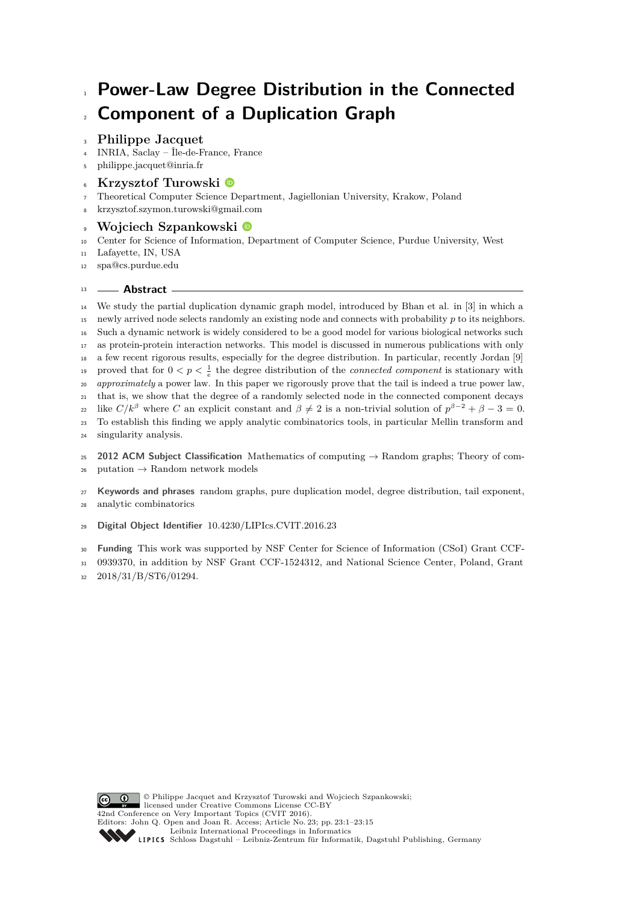# **Power-Law Degree Distribution in the Connected Component of a Duplication Graph**

# **Philippe Jacquet**

INRIA, Saclay – Île-de-France, France

- [philippe.jacquet@inria.fr](mailto:philippe.jacquet@inria.fr)
- **Krzysztof Turowski**
- Theoretical Computer Science Department, Jagiellonian University, Krakow, Poland
- [krzysztof.szymon.turowski@gmail.com](mailto:krzysztof.szymon.turowski@gmail.com)

# **Wojciech Szpankowski**

Center for Science of Information, Department of Computer Science, Purdue University, West

Lafayette, IN, USA

[spa@cs.purdue.edu](mailto:spa@cs.purdue.edu)

# **Abstract**

 We study the partial duplication dynamic graph model, introduced by Bhan et al. in [\[3\]](#page-12-0) in which a newly arrived node selects randomly an existing node and connects with probability *p* to its neighbors. Such a dynamic network is widely considered to be a good model for various biological networks such as protein-protein interaction networks. This model is discussed in numerous publications with only a few recent rigorous results, especially for the degree distribution. In particular, recently Jordan [\[9\]](#page-12-1) proved that for  $0 < p < \frac{1}{e}$  the degree distribution of the *connected component* is stationary with *approximately* a power law. In this paper we rigorously prove that the tail is indeed a true power law, that is, we show that the degree of a randomly selected node in the connected component decays like  $C/k^{\beta}$  where *C* an explicit constant and  $\beta \neq 2$  is a non-trivial solution of  $p^{\beta-2} + \beta - 3 = 0$ . To establish this finding we apply analytic combinatorics tools, in particular Mellin transform and singularity analysis.

 **2012 ACM Subject Classification** Mathematics of computing → Random graphs; Theory of com-26 putation  $\rightarrow$  Random network models

 **Keywords and phrases** random graphs, pure duplication model, degree distribution, tail exponent, analytic combinatorics

**Digital Object Identifier** [10.4230/LIPIcs.CVIT.2016.23](https://doi.org/10.4230/LIPIcs.CVIT.2016.23)

**Funding** This work was supported by NSF Center for Science of Information (CSoI) Grant CCF-

 0939370, in addition by NSF Grant CCF-1524312, and National Science Center, Poland, Grant 2018/31/B/ST6/01294.

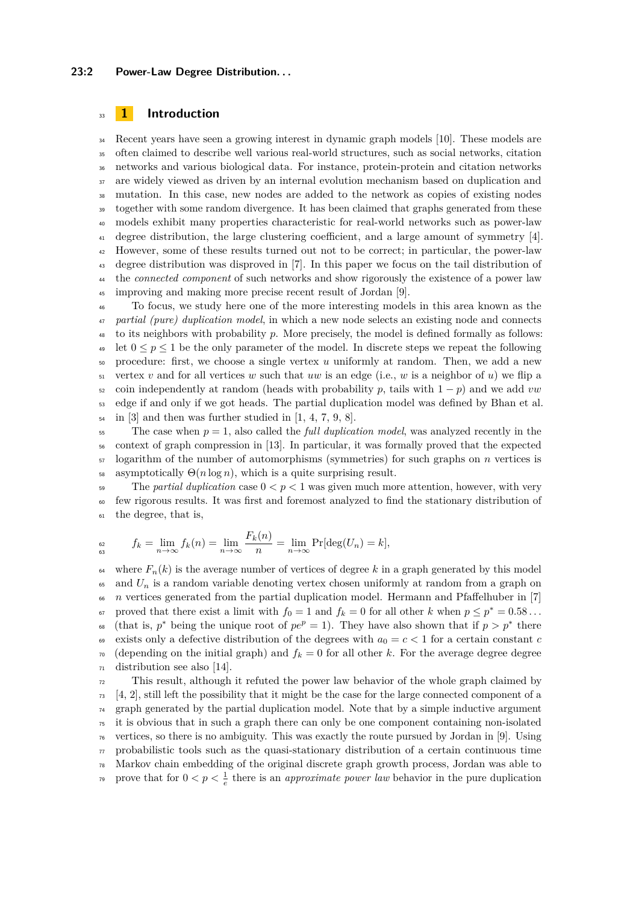#### **23:2 Power-Law Degree Distribution. . .**

### <sup>33</sup> **1 Introduction**

<sup>34</sup> Recent years have seen a growing interest in dynamic graph models [\[10\]](#page-12-2). These models are often claimed to describe well various real-world structures, such as social networks, citation networks and various biological data. For instance, protein-protein and citation networks are widely viewed as driven by an internal evolution mechanism based on duplication and mutation. In this case, new nodes are added to the network as copies of existing nodes together with some random divergence. It has been claimed that graphs generated from these models exhibit many properties characteristic for real-world networks such as power-law <sup>41</sup> degree distribution, the large clustering coefficient, and a large amount of symmetry [\[4\]](#page-12-3). However, some of these results turned out not to be correct; in particular, the power-law degree distribution was disproved in [\[7\]](#page-12-4). In this paper we focus on the tail distribution of the *connected component* of such networks and show rigorously the existence of a power law improving and making more precise recent result of Jordan [\[9\]](#page-12-1).

<sup>46</sup> To focus, we study here one of the more interesting models in this area known as the <sup>47</sup> *partial (pure) duplication model*, in which a new node selects an existing node and connects <sup>48</sup> to its neighbors with probability *p*. More precisely, the model is defined formally as follows: let  $0 \le p \le 1$  be the only parameter of the model. In discrete steps we repeat the following <sup>50</sup> procedure: first, we choose a single vertex *u* uniformly at random. Then, we add a new  $\frac{1}{51}$  vertex *v* and for all vertices *w* such that *uw* is an edge (i.e., *w* is a neighbor of *u*) we flip a 52 coin independently at random (heads with probability p, tails with  $1 - p$ ) and we add vw <sup>53</sup> edge if and only if we got heads. The partial duplication model was defined by Bhan et al.  $\mathfrak{so}$  in [\[3\]](#page-12-0) and then was further studied in [\[1,](#page-12-5) [4,](#page-12-3) [7,](#page-12-4) [9,](#page-12-1) [8\]](#page-12-6).

 The case when  $p = 1$ , also called the *full duplication model*, was analyzed recently in the context of graph compression in [\[13\]](#page-12-7). In particular, it was formally proved that the expected logarithm of the number of automorphisms (symmetries) for such graphs on *n* vertices is 58 asymptotically  $\Theta(n \log n)$ , which is a quite surprising result.

59 The *partial duplication* case  $0 < p < 1$  was given much more attention, however, with very <sup>60</sup> few rigorous results. It was first and foremost analyzed to find the stationary distribution of <sup>61</sup> the degree, that is,

$$
f_k = \lim_{n \to \infty} f_k(n) = \lim_{n \to \infty} \frac{F_k(n)}{n} = \lim_{n \to \infty} \Pr[\deg(U_n) = k],
$$

<sup>64</sup> where  $F_n(k)$  is the average number of vertices of degree k in a graph generated by this model  $\epsilon$ <sub>65</sub> and  $U_n$  is a random variable denoting vertex chosen uniformly at random from a graph on <sup>66</sup> *n* vertices generated from the partial duplication model. Hermann and Pfaffelhuber in [\[7\]](#page-12-4)  $\sigma$  proved that there exist a limit with  $f_0 = 1$  and  $f_k = 0$  for all other *k* when  $p \le p^* = 0.58...$ <sup>68</sup> (that is,  $p^*$  being the unique root of  $pe^p = 1$ ). They have also shown that if  $p > p^*$  there 69 exists only a defective distribution of the degrees with  $a_0 = c < 1$  for a certain constant *c*  $\tau$ <sup>0</sup> (depending on the initial graph) and  $f_k = 0$  for all other *k*. For the average degree degree <sup>71</sup> distribution see also [\[14\]](#page-12-8).

 This result, although it refuted the power law behavior of the whole graph claimed by  $73 \quad [4, 2]$  $73 \quad [4, 2]$  $73 \quad [4, 2]$  $73 \quad [4, 2]$ , still left the possibility that it might be the case for the large connected component of a graph generated by the partial duplication model. Note that by a simple inductive argument it is obvious that in such a graph there can only be one component containing non-isolated vertices, so there is no ambiguity. This was exactly the route pursued by Jordan in [\[9\]](#page-12-1). Using probabilistic tools such as the quasi-stationary distribution of a certain continuous time Markov chain embedding of the original discrete graph growth process, Jordan was able to prove that for  $0 < p < \frac{1}{e}$  there is an *approximate power law* behavior in the pure duplication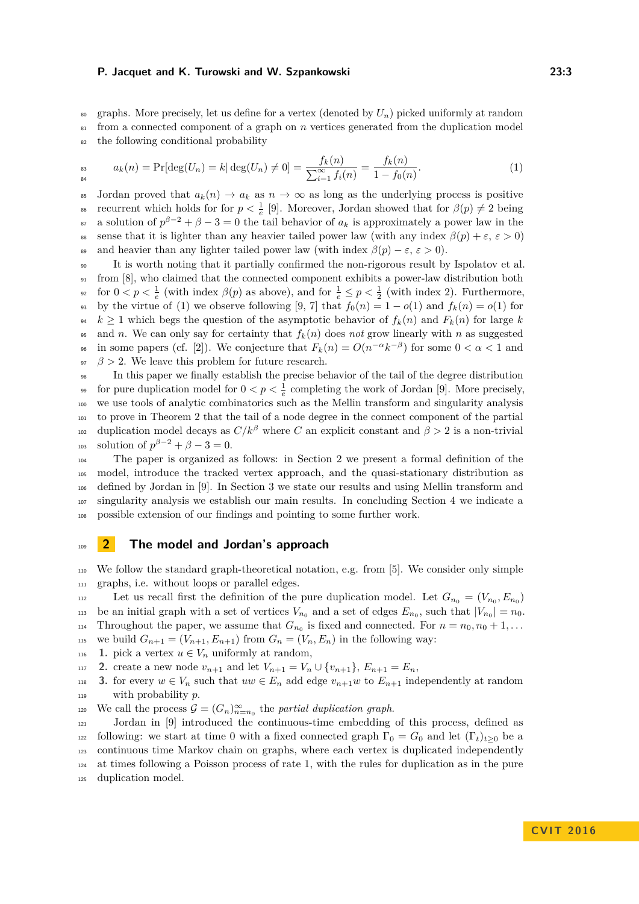<sup>80</sup> graphs. More precisely, let us define for a vertex (denoted by  $U_n$ ) picked uniformly at random <sup>81</sup> from a connected component of a graph on *n* vertices generated from the duplication model <sup>82</sup> the following conditional probability

<span id="page-2-0"></span>
$$
a_k(n) = \Pr[\deg(U_n) = k | \deg(U_n) \neq 0] = \frac{f_k(n)}{\sum_{i=1}^{\infty} f_i(n)} = \frac{f_k(n)}{1 - f_0(n)}.
$$
\n(1)

85 Jordan proved that  $a_k(n) \to a_k$  as  $n \to \infty$  as long as the underlying process is positive  $\alpha$  recurrent which holds for for  $p < \frac{1}{e}$  [\[9\]](#page-12-1). Moreover, Jordan showed that for  $\beta(p) \neq 2$  being <sup>87</sup> a solution of  $p^{\beta-2} + \beta - 3 = 0$  the tail behavior of  $a_k$  is approximately a power law in the 88 sense that it is lighter than any heavier tailed power law (with any index  $\beta(p) + \varepsilon, \varepsilon > 0$ ) 89 and heavier than any lighter tailed power law (with index  $\beta(p) - \varepsilon, \, \varepsilon > 0$ ).

<sup>90</sup> It is worth noting that it partially confirmed the non-rigorous result by Ispolatov et al. <sup>91</sup> from [\[8\]](#page-12-6), who claimed that the connected component exhibits a power-law distribution both <sup>92</sup> for  $0 < p < \frac{1}{e}$  (with index  $\beta(p)$  as above), and for  $\frac{1}{e} \le p < \frac{1}{2}$  (with index 2). Furthermore, 93 by the virtue of [\(1\)](#page-2-0) we observe following [\[9,](#page-12-1) [7\]](#page-12-4) that  $f_0(n) = 1 - o(1)$  and  $f_k(n) = o(1)$  for <sup>94</sup>  $k \ge 1$  which begs the question of the asymptotic behavior of  $f_k(n)$  and  $F_k(n)$  for large  $k$ <sup>95</sup> and *n*. We can only say for certainty that  $f_k(n)$  does *not* grow linearly with *n* as suggested in some papers (cf. [\[2\]](#page-12-9)). We conjecture that  $F_k(n) = O(n^{-\alpha}k^{-\beta})$  for some  $0 < \alpha < 1$  and  $\beta > 2$ . We leave this problem for future research.

 In this paper we finally establish the precise behavior of the tail of the degree distribution <sup>99</sup> for pure duplication model for  $0 < p < \frac{1}{e}$  completing the work of Jordan [\[9\]](#page-12-1). More precisely, we use tools of analytic combinatorics such as the Mellin transform and singularity analysis to prove in Theorem [2](#page-4-0) that the tail of a node degree in the connect component of the partial duplication model decays as  $C/k^{\beta}$  where *C* an explicit constant and  $\beta > 2$  is a non-trivial 103 solution of  $p^{\beta - 2} + \beta - 3 = 0$ .

 The paper is organized as follows: in Section [2](#page-2-1) we present a formal definition of the model, introduce the tracked vertex approach, and the quasi-stationary distribution as defined by Jordan in [\[9\]](#page-12-1). In Section [3](#page-4-1) we state our results and using Mellin transform and singularity analysis we establish our main results. In concluding Section [4](#page-11-0) we indicate a possible extension of our findings and pointing to some further work.

#### <span id="page-2-1"></span><sup>109</sup> **2 The model and Jordan's approach**

<sup>110</sup> We follow the standard graph-theoretical notation, e.g. from [\[5\]](#page-12-10). We consider only simple <sup>111</sup> graphs, i.e. without loops or parallel edges.

Let us recall first the definition of the pure duplication model. Let  $G_{n_0} = (V_{n_0}, E_{n_0})$ be an initial graph with a set of vertices  $V_{n_0}$  and a set of edges  $E_{n_0}$ , such that  $|V_{n_0}| = n_0$ . Throughout the paper, we assume that  $G_{n_0}$  is fixed and connected. For  $n = n_0, n_0 + 1, \ldots$ 115 we build  $G_{n+1} = (V_{n+1}, E_{n+1})$  from  $G_n = (V_n, E_n)$  in the following way:

116 **1.** pick a vertex  $u \in V_n$  uniformly at random,

117 **2.** create a new node  $v_{n+1}$  and let  $V_{n+1} = V_n \cup \{v_{n+1}\}, E_{n+1} = E_n$ ,

118 **3.** for every  $w \in V_n$  such that  $uw \in E_n$  add edge  $v_{n+1}w$  to  $E_{n+1}$  independently at random <sup>119</sup> with probability *p*.

We call the process  $G = (G_n)_{n=n_0}^{\infty}$  the *partial duplication graph*.

 Jordan in [\[9\]](#page-12-1) introduced the continuous-time embedding of this process, defined as 122 following: we start at time 0 with a fixed connected graph  $\Gamma_0 = G_0$  and let  $(\Gamma_t)_{t>0}$  be a continuous time Markov chain on graphs, where each vertex is duplicated independently at times following a Poisson process of rate 1, with the rules for duplication as in the pure duplication model.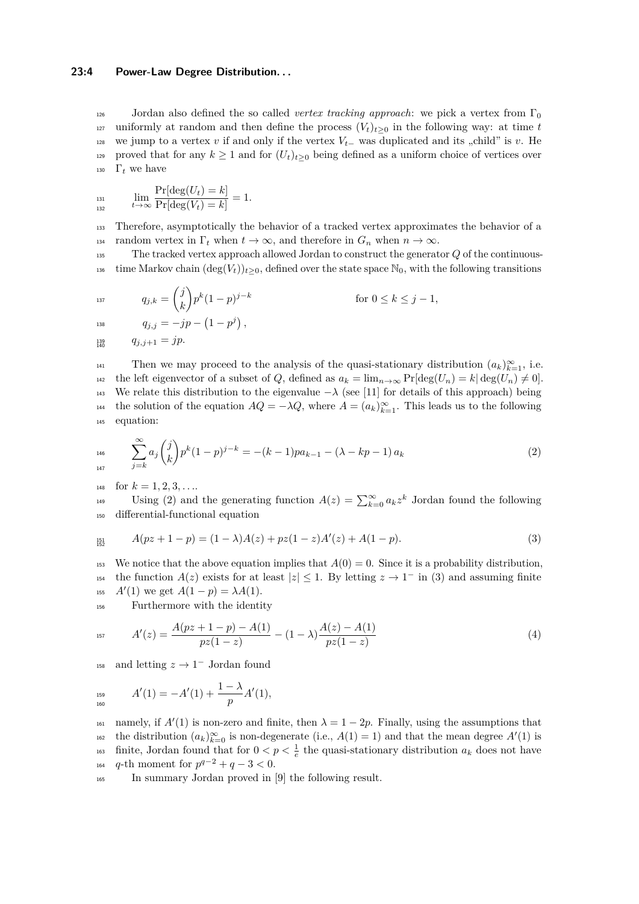#### **23:4 Power-Law Degree Distribution. . .**

126 Jordan also defined the so called *vertex tracking approach*: we pick a vertex from  $\Gamma_0$ 127 uniformly at random and then define the process  $(V_t)_{t>0}$  in the following way: at time *t* 128 we jump to a vertex *v* if and only if the vertex  $V<sub>t</sub>$  was duplicated and its "child" is *v*. He 129 proved that for any  $k \geq 1$  and for  $(U_t)_{t \geq 0}$  being defined as a uniform choice of vertices over 130  $\Gamma_t$  we have

$$
\lim_{t \to \infty} \frac{\Pr[\deg(U_t) = k]}{\Pr[\deg(V_t) = k]} = 1.
$$

<sup>133</sup> Therefore, asymptotically the behavior of a tracked vertex approximates the behavior of a 134 random vertex in  $\Gamma_t$  when  $t \to \infty$ , and therefore in  $G_n$  when  $n \to \infty$ .

<sup>135</sup> The tracked vertex approach allowed Jordan to construct the generator *Q* of the continuous-136 time Markov chain  $(\deg(V_t))_{t>0}$ , defined over the state space  $\mathbb{N}_0$ , with the following transitions

$$
q_{j,k} = \binom{j}{k} p^k (1-p)^{j-k} \qquad \text{for } 0 \le k \le j-1,
$$
  

$$
q_{j,j} = -jp - (1-p^j),
$$

 $q_{j,j+1} = yp.$ 139<br>140

Then we may proceed to the analysis of the quasi-stationary distribution  $(a_k)_{k=1}^{\infty}$ , i.e. 142 the left eigenvector of a subset of *Q*, defined as  $a_k = \lim_{n \to \infty} \Pr[\deg(U_n) = k | \deg(U_n) \neq 0].$ 143 We relate this distribution to the eigenvalue  $-\lambda$  (see [\[11\]](#page-12-11) for details of this approach) being the solution of the equation  $AQ = -\lambda Q$ , where  $A = (a_k)_{k=1}^{\infty}$ . This leads us to the following <sup>145</sup> equation:

<span id="page-3-0"></span>
$$
\sum_{146}^{\infty} a_j \binom{j}{k} p^k (1-p)^{j-k} = -(k-1)pa_{k-1} - (\lambda - kp - 1) a_k
$$
\n(2)

148 for  $k = 1, 2, 3, \ldots$ 

Using [\(2\)](#page-3-0) and the generating function  $A(z) = \sum_{k=0}^{\infty} a_k z^k$  Jordan found the following <sup>150</sup> differential-functional equation

<span id="page-3-1"></span>
$$
A(pz + 1 - p) = (1 - \lambda)A(z) + pz(1 - z)A'(z) + A(1 - p).
$$
\n(3)

<sup>153</sup> We notice that the above equation implies that  $A(0) = 0$ . Since it is a probability distribution, the function  $A(z)$  exists for at least  $|z| \leq 1$ . By letting  $z \to 1^-$  in [\(3\)](#page-3-1) and assuming finite 155  $A'(1)$  we get  $A(1 - p) = \lambda A(1)$ .

<sup>156</sup> Furthermore with the identity

$$
A'(z) = \frac{A(pz + 1 - p) - A(1)}{pz(1 - z)} - (1 - \lambda) \frac{A(z) - A(1)}{pz(1 - z)}
$$
(4)

<sup>158</sup> and letting  $z \to 1^-$  Jordan found

$$
A'(1) = -A'(1) + \frac{1-\lambda}{p}A'(1),
$$

namely, if  $A'(1)$  is non-zero and finite, then  $\lambda = 1 - 2p$ . Finally, using the assumptions that the distribution  $(a_k)_{k=0}^{\infty}$  is non-degenerate (i.e.,  $A(1) = 1$ ) and that the mean degree  $A'(1)$  is finite, Jordan found that for  $0 < p < \frac{1}{e}$  the quasi-stationary distribution  $a_k$  does not have  $q$ -th moment for  $p^{q-2} + q - 3 < 0$ .

<span id="page-3-2"></span><sup>165</sup> In summary Jordan proved in [\[9\]](#page-12-1) the following result.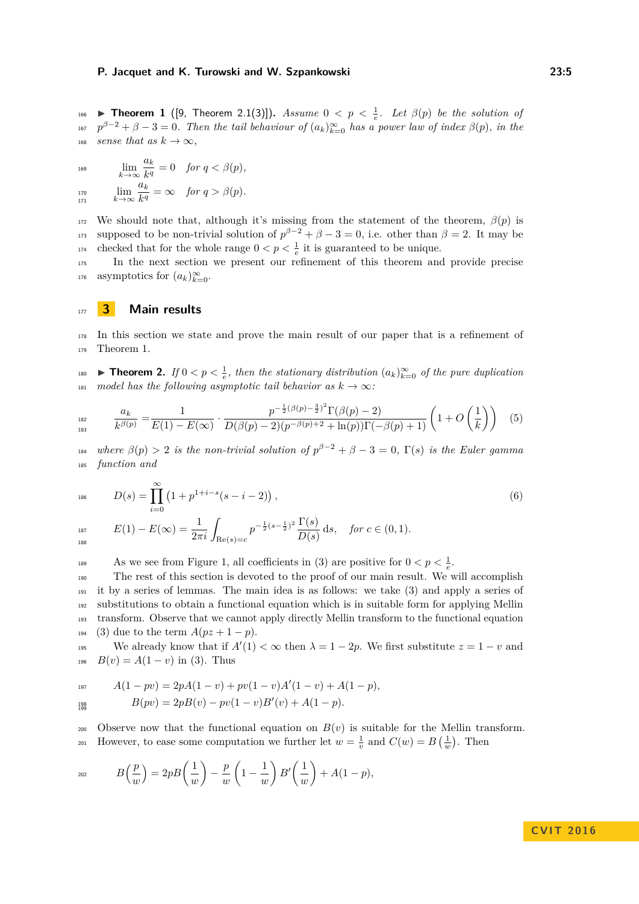**Theorem 1** ([\[9,](#page-12-1) Theorem 2.1(3)]). *Assume*  $0 < p < \frac{1}{e}$ . Let  $\beta(p)$  be the solution of  $p^{\beta-2} + \beta - 3 = 0$ . Then the tail behaviour of  $(a_k)_{k=0}^{\infty}$  has a power law of index  $\beta(p)$ , in the 168 *sense that as*  $k \to \infty$ ,

lim *k*→∞ *ak*  $\lim_{k \to \infty} \frac{d_k}{k^q} = 0$  *for*  $q < \beta(p)$ *,* lim *k*→∞ *ak*  $\lim_{n \to \infty} \lim_{k \to \infty} \frac{\alpha_k}{k^q} = \infty$  for  $q > \beta(p)$ . 171

172 We should note that, although it's missing from the statement of the theorem,  $\beta(p)$  is supposed to be non-trivial solution of  $p^{\beta-2} + \beta - 3 = 0$ , i.e. other than  $\beta = 2$ . It may be <sup>174</sup> checked that for the whole range  $0 < p < \frac{1}{e}$  it is guaranteed to be unique.

<sup>175</sup> In the next section we present our refinement of this theorem and provide precise asymptotics for  $(a_k)_{k=0}^{\infty}$ .

#### <span id="page-4-1"></span><sup>177</sup> **3 Main results**

<sup>178</sup> In this section we state and prove the main result of our paper that is a refinement of <sup>179</sup> Theorem [1.](#page-3-2)

<span id="page-4-0"></span>**■ Theorem 2.** *If* 0 < *p* <  $\frac{1}{e}$ , then the stationary distribution  $(a_k)_{k=0}^{\infty}$  of the pure duplication <sup>181</sup> *model has the following asymptotic tail behavior as*  $k \to \infty$ *:* 

<span id="page-4-3"></span>
$$
{}_{182}^{182} \qquad \frac{a_k}{k^{\beta(p)}} = \frac{1}{E(1) - E(\infty)} \cdot \frac{p^{-\frac{1}{2}(\beta(p) - \frac{3}{2})^2} \Gamma(\beta(p) - 2)}{D(\beta(p) - 2)(p^{-\beta(p) + 2} + \ln(p))\Gamma(-\beta(p) + 1)} \left(1 + O\left(\frac{1}{k}\right)\right) \tag{5}
$$

 $\mu_{\text{B4}}$  where  $\beta(p) > 2$  is the non-trivial solution of  $p^{\beta-2} + \beta - 3 = 0$ ,  $\Gamma(s)$  is the Euler gamma <sup>185</sup> *function and*

$$
D(s) = \prod_{i=0}^{\infty} (1 + p^{1+i-s}(s-i-2)),
$$
\n(6)

<span id="page-4-2"></span> $E(1) - E(\infty) = \frac{1}{2\pi i} \int_{\text{Re}(s) = c}$  $p^{-\frac{1}{2}(s-\frac{1}{2})^2} \frac{\Gamma(s)}{\Gamma(s)}$  $E(1) - E(\infty) = \frac{1}{2\pi i} \int_{\text{Re}(s) = c} p^{-\frac{1}{2}(s-\frac{1}{2})^2} \frac{P(s)}{D(s)} ds$ , for  $c \in (0,1)$ *.* 188

As we see from Figure [1,](#page-5-0) all coefficients in [\(3\)](#page-3-1) are positive for  $0 < p < \frac{1}{e}$ .

 The rest of this section is devoted to the proof of our main result. We will accomplish it by a series of lemmas. The main idea is as follows: we take [\(3\)](#page-3-1) and apply a series of substitutions to obtain a functional equation which is in suitable form for applying Mellin transform. Observe that we cannot apply directly Mellin transform to the functional equation [\(3\)](#page-3-1) due to the term  $A(pz+1-p)$ .

We already know that if  $A'(1) < \infty$  then  $\lambda = 1 - 2p$ . We first substitute  $z = 1 - v$  and  $B(v) = A(1 - v)$  in [\(3\)](#page-3-1). Thus

$$
A(1 - pv) = 2pA(1 - v) + pv(1 - v)A'(1 - v) + A(1 - p),
$$
  
\n
$$
B(pv) = 2pB(v) - pv(1 - v)B'(v) + A(1 - p).
$$

200 Observe now that the functional equation on  $B(v)$  is suitable for the Mellin transform. However, to ease some computation we further let  $w = \frac{1}{v}$  and  $C(w) = B(\frac{1}{w})$ . Then

$$
B\left(\frac{p}{w}\right) = 2pB\left(\frac{1}{w}\right) - \frac{p}{w}\left(1 - \frac{1}{w}\right)B'\left(\frac{1}{w}\right) + A(1 - p),
$$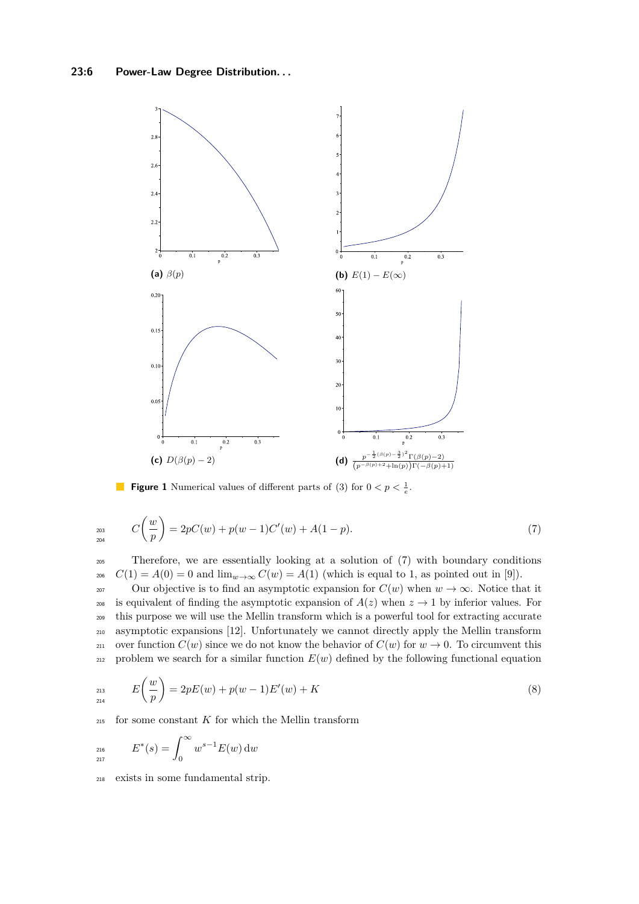<span id="page-5-0"></span>

<span id="page-5-1"></span>**Figure 1** Numerical values of different parts of [\(3\)](#page-3-1) for  $0 < p < \frac{1}{e}$ .

$$
C\left(\frac{w}{p}\right) = 2pC(w) + p(w-1)C'(w) + A(1-p). \tag{7}
$$

<sup>205</sup> Therefore, we are essentially looking at a solution of [\(7\)](#page-5-1) with boundary conditions 206  $C(1) = A(0) = 0$  and  $\lim_{w\to\infty} C(w) = A(1)$  (which is equal to 1, as pointed out in [\[9\]](#page-12-1)).

207 Our objective is to find an asymptotic expansion for  $C(w)$  when  $w \to \infty$ . Notice that it <sup>208</sup> is equivalent of finding the asymptotic expansion of  $A(z)$  when  $z \to 1$  by inferior values. For <sup>209</sup> this purpose we will use the Mellin transform which is a powerful tool for extracting accurate <sup>210</sup> asymptotic expansions [\[12\]](#page-12-12). Unfortunately we cannot directly apply the Mellin transform <sup>211</sup> over function  $C(w)$  since we do not know the behavior of  $C(w)$  for  $w \to 0$ . To circumvent this 212 problem we search for a similar function  $E(w)$  defined by the following functional equation

<span id="page-5-2"></span>
$$
E\left(\frac{w}{p}\right) = 2pE(w) + p(w-1)E'(w) + K\tag{8}
$$

<sup>215</sup> for some constant *K* for which the Mellin transform

$$
E^*(s) = \int_0^\infty w^{s-1} E(w) \, dw
$$

<sup>218</sup> exists in some fundamental strip.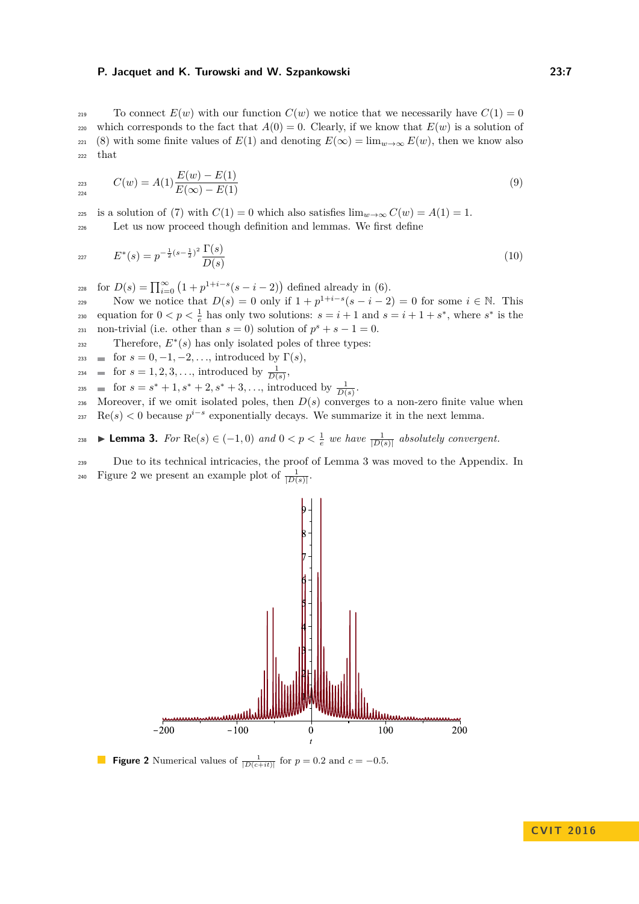219 To connect  $E(w)$  with our function  $C(w)$  we notice that we necessarily have  $C(1) = 0$ 220 which corresponds to the fact that  $A(0) = 0$ . Clearly, if we know that  $E(w)$  is a solution of 221 [\(8\)](#page-5-2) with some finite values of  $E(1)$  and denoting  $E(\infty) = \lim_{w \to \infty} E(w)$ , then we know also  $222$  that

<span id="page-6-2"></span>
$$
C(w) = A(1)\frac{E(w) - E(1)}{E(\infty) - E(1)}
$$
\n(9)

225 is a solution of [\(7\)](#page-5-1) with  $C(1) = 0$  which also satisfies  $\lim_{w \to \infty} C(w) = A(1) = 1$ . <sup>226</sup> Let us now proceed though definition and lemmas. We first define

$$
E^*(s) = p^{-\frac{1}{2}(s-\frac{1}{2})^2} \frac{\Gamma(s)}{D(s)}
$$
(10)

 $f_{228}$  for  $D(s) = \prod_{i=0}^{\infty} (1 + p^{1+i-s}(s-i-2))$  defined already in [\(6\)](#page-4-2).

Now we notice that  $D(s) = 0$  only if  $1 + p^{1+i-s}(s-i-2) = 0$  for some  $i \in \mathbb{N}$ . This equation for  $0 < p < \frac{1}{e}$  has only two solutions:  $s = i + 1$  and  $s = i + 1 + s^*$ , where  $s^*$  is the  $_{231}$  non-trivial (i.e. other than  $s = 0$ ) solution of  $p^s + s - 1 = 0$ .

Therefore,  $E^*(s)$  has only isolated poles of three types:

- $\text{for } s = 0, -1, -2, \ldots, \text{ introduced by } \Gamma(s),$
- $\text{for } s = 1, 2, 3, \ldots, \text{ introduced by } \frac{1}{D(s)},$
- $f_{235}$  **ii** for  $s = s^* + 1, s^* + 2, s^* + 3, \ldots$ , introduced by  $\frac{1}{D(s)}$ .
- 236 Moreover, if we omit isolated poles, then  $D(s)$  converges to a non-zero finite value when

<span id="page-6-0"></span> $\text{Re}(s) < 0$  because  $p^{i-s}$  exponentially decays. We summarize it in the next lemma.

$$
\text{Lemma 3. For } \text{Re}(s) \in (-1, 0) \text{ and } 0 < p < \frac{1}{e} \text{ we have } \frac{1}{|D(s)|} \text{ absolutely convergent.}
$$

<sup>239</sup> Due to its technical intricacies, the proof of Lemma [3](#page-6-0) was moved to the Appendix. In Figure [2](#page-6-1) we present an example plot of  $\frac{1}{|D(s)|}$ .

<span id="page-6-1"></span>

**Figure 2** Numerical values of  $\frac{1}{|D(c+it)|}$  for  $p = 0.2$  and  $c = -0.5$ .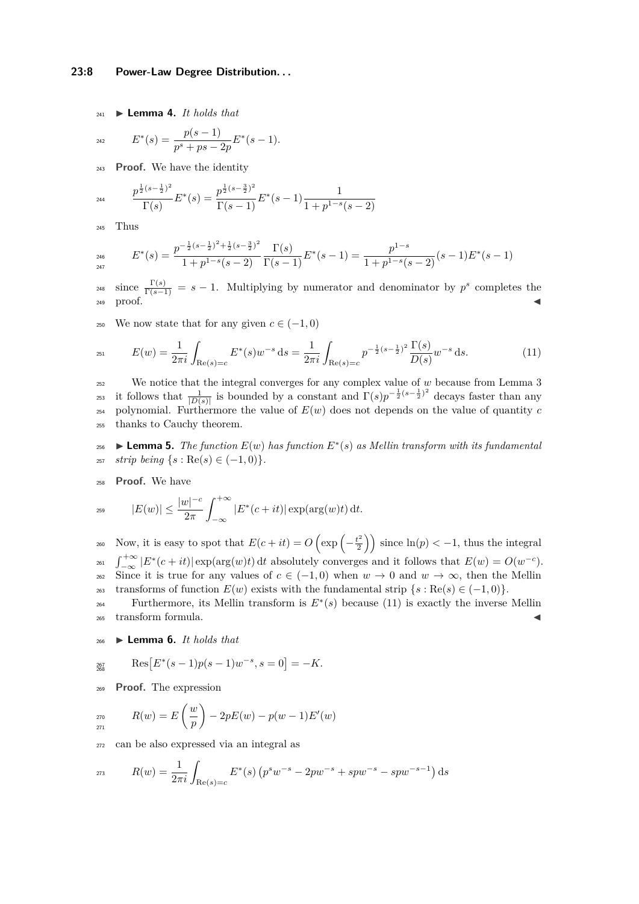#### **23:8 Power-Law Degree Distribution. . .**

 $_{241}$   $\blacktriangleright$  **Lemma 4.** *It holds that* 

$$
E^*(s) = \frac{p(s-1)}{p^s + ps - 2p} E^*(s-1).
$$

<sup>243</sup> **Proof.** We have the identity

$$
P^{\frac{1}{2}(s-\frac{1}{2})^2} F^*(s) = \frac{p^{\frac{1}{2}(s-\frac{3}{2})^2}}{\Gamma(s-1)} E^*(s-1) \frac{1}{1+p^{1-s}(s-2)}
$$

<sup>245</sup> Thus

<sub>2</sub>

$$
E^*(s) = \frac{p^{-\frac{1}{2}(s-\frac{1}{2})^2 + \frac{1}{2}(s-\frac{3}{2})^2}}{1+p^{1-s}(s-2)} \frac{\Gamma(s)}{\Gamma(s-1)} E^*(s-1) = \frac{p^{1-s}}{1+p^{1-s}(s-2)} (s-1) E^*(s-1)
$$

<sup>248</sup> since  $\frac{\Gamma(s)}{\Gamma(s-1)} = s - 1$ . Multiplying by numerator and denominator by  $p^s$  completes the  $_{249}$  proof.

<span id="page-7-0"></span>250 We now state that for any given  $c \in (-1,0)$ 

$$
E(w) = \frac{1}{2\pi i} \int_{\text{Re}(s)=c} E^*(s) w^{-s} ds = \frac{1}{2\pi i} \int_{\text{Re}(s)=c} p^{-\frac{1}{2}(s-\frac{1}{2})^2} \frac{\Gamma(s)}{D(s)} w^{-s} ds. \tag{11}
$$

<sup>252</sup> We notice that the integral converges for any complex value of *w* because from Lemma [3](#page-6-0) <sup>253</sup> it follows that  $\frac{1}{|D(s)|}$  is bounded by a constant and  $\Gamma(s)p^{-\frac{1}{2}(s-\frac{1}{2})^2}$  decays faster than any  $_{254}$  polynomial. Furthermore the value of  $E(w)$  does not depends on the value of quantity *c* <sup>255</sup> thanks to Cauchy theorem.

<span id="page-7-1"></span>256 ► **Lemma 5.** *The function*  $E(w)$  *has function*  $E^*(s)$  *as Mellin transform with its fundamental*  $257$  *strip being*  $\{s : \text{Re}(s) \in (-1,0)\}.$ 

<sup>258</sup> **Proof.** We have

259 
$$
|E(w)| \le \frac{|w|^{-c}}{2\pi} \int_{-\infty}^{+\infty} |E^*(c+it)| \exp(\arg(w)t) dt.
$$

Now, it is easy to spot that  $E(c+it) = O\left(\exp\left(-\frac{t^2}{2}\right)\right)$ 260 Now, it is easy to spot that  $E(c+it) = O\left(\exp\left(-\frac{t^2}{2}\right)\right)$  since  $\ln(p) < -1$ , thus the integral  $\int_{-\infty}^{+\infty} |E^*(c+it)| \exp(\arg(w)t) dt$  absolutely converges and it follows that  $E(w) = O(w^{-c})$ . 262 Since it is true for any values of  $c \in (-1,0)$  when  $w \to 0$  and  $w \to \infty$ , then the Mellin  $\text{transforms of function } E(w) \text{ exists with the fundamental strip } \{s : \text{Re}(s) \in (-1,0)\}.$ 

Furthermore, its Mellin transform is  $E^*(s)$  because [\(11\)](#page-7-0) is exactly the inverse Mellin <sup>265</sup> transform formula.

<span id="page-7-2"></span><sup>266</sup> I **Lemma 6.** *It holds that*

$$
Res_{268} \qquad Res\big[E^*(s-1)p(s-1)w^{-s}, s=0\big]=-K.
$$

<sup>269</sup> **Proof.** The expression

$$
P_{271}^{270} \qquad R(w) = E\left(\frac{w}{p}\right) - 2pE(w) - p(w-1)E'(w)
$$

<sup>272</sup> can be also expressed via an integral as

$$
R(w) = \frac{1}{2\pi i} \int_{\text{Re}(s)=c} E^*(s) \left( p^s w^{-s} - 2pw^{-s} + spw^{-s} - spw^{-s-1} \right) ds
$$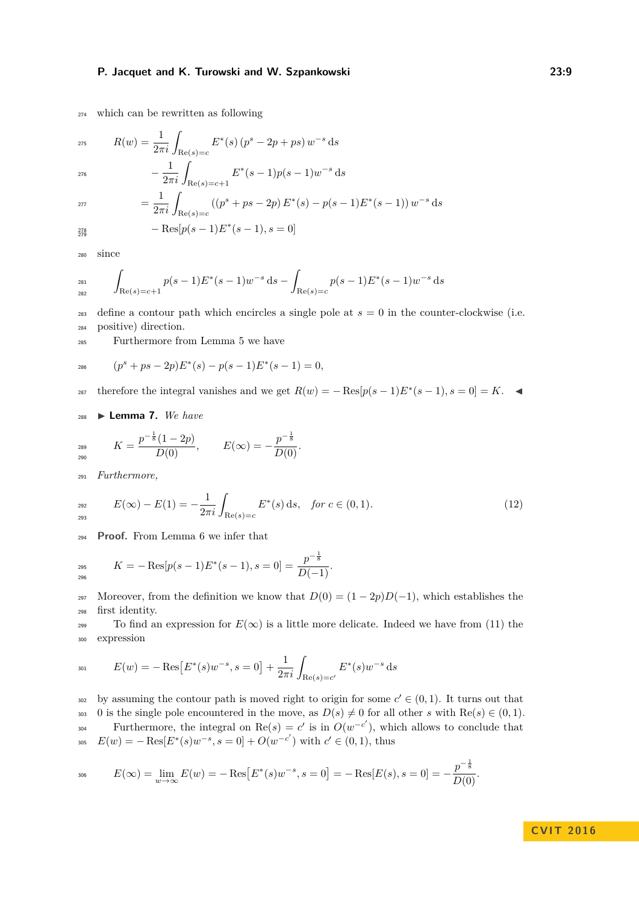<sup>274</sup> which can be rewritten as following

$$
R(w) = \frac{1}{2\pi i} \int_{\text{Re}(s)=c} E^*(s) (p^s - 2p + ps) w^{-s} ds
$$
  

$$
- \frac{1}{2\pi i} \int_{\text{Re}(s)=c+1} E^*(s-1)p(s-1)w^{-s} ds
$$
  

$$
= \frac{1}{2\pi i} \int_{\text{Re}(s)=c} ((p^s + ps - 2p) E^*(s) - p(s-1) E^*(s-1)) w^{-s} ds
$$

$$
- Res[p(s-1)E^*(s-1), s=0]
$$

<sup>280</sup> since

$$
\int_{\text{Re}(s) = c+1} p(s-1) E^*(s-1) w^{-s} ds - \int_{\text{Re}(s) = c} p(s-1) E^*(s-1) w^{-s} ds
$$

<sup>283</sup> define a contour path which encircles a single pole at  $s = 0$  in the counter-clockwise (i.e. <sup>284</sup> positive) direction.

<sup>285</sup> Furthermore from Lemma [5](#page-7-1) we have

$$
e^{i\theta s} \qquad (p^s + ps - 2p)E^*(s) - p(s - 1)E^*(s - 1) = 0,
$$

therefore the integral vanishes and we get  $R(w) = -\text{Res}[p(s-1)E^*(s-1), s=0] = K$ .

<sup>288</sup> I **Lemma 7.** *We have*

$$
K = \frac{p^{-\frac{1}{8}}(1-2p)}{D(0)}, \qquad E(\infty) = -\frac{p^{-\frac{1}{8}}}{D(0)}.
$$

<sup>291</sup> *Furthermore,*

$$
E(\infty) - E(1) = -\frac{1}{2\pi i} \int_{\text{Re}(s) = c} E^*(s) \, ds, \quad \text{for } c \in (0, 1). \tag{12}
$$

<sup>294</sup> **Proof.** From Lemma [6](#page-7-2) we infer that

$$
K = -\operatorname{Res}_{296}[p(s-1)E^*(s-1), s=0] = \frac{p^{-\frac{1}{8}}}{D(-1)}.
$$

297 Moreover, from the definition we know that  $D(0) = (1 - 2p)D(-1)$ , which establishes the <sup>298</sup> first identity.

299 To find an expression for  $E(\infty)$  is a little more delicate. Indeed we have from [\(11\)](#page-7-0) the <sup>300</sup> expression

$$
E(w) = -\operatorname{Res}\left[E^*(s)w^{-s}, s=0\right] + \frac{1}{2\pi i} \int_{\operatorname{Re}(s)=c'} E^*(s)w^{-s} ds
$$

by assuming the contour path is moved right to origin for some  $c' \in (0,1)$ . It turns out that 303 0 is the single pole encountered in the move, as  $D(s) \neq 0$  for all other *s* with Re(*s*)  $\in (0,1)$ . Furthermore, the integral on  $\text{Re}(s) = c'$  is in  $O(w^{-c'})$ , which allows to conclude that  $E(w) = -\operatorname{Res}[E^*(s)w^{-s}, s=0] + O(w^{-c'})$  with  $c' \in (0,1)$ , thus

$$
E(\infty) = \lim_{w \to \infty} E(w) = -\operatorname{Res}\big[E^*(s)w^{-s}, s = 0\big] = -\operatorname{Res}\big[E(s), s = 0\big] = -\frac{p^{-\frac{1}{8}}}{D(0)}.
$$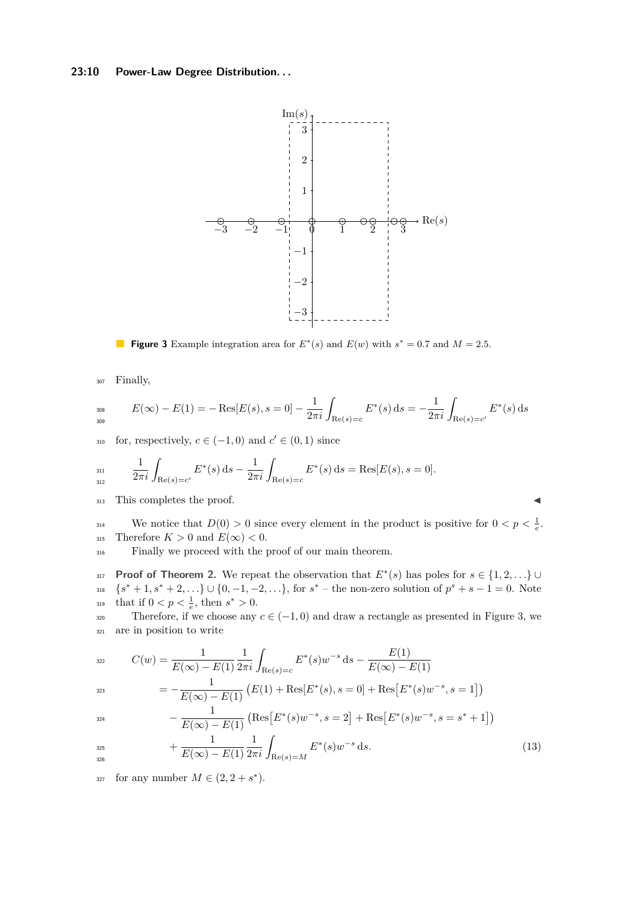### <span id="page-9-0"></span>**23:10 Power-Law Degree Distribution. . .**



**Figure 3** Example integration area for  $E^*(s)$  and  $E(w)$  with  $s^* = 0.7$  and  $M = 2.5$ .

<sup>307</sup> Finally,

$$
E(\infty) - E(1) = -\operatorname{Res}[E(s), s = 0] - \frac{1}{2\pi i} \int_{\operatorname{Re}(s) = c} E^*(s) \, \mathrm{d}s = -\frac{1}{2\pi i} \int_{\operatorname{Re}(s) = c'} E^*(s) \, \mathrm{d}s
$$

for, respectively,  $c \in (-1,0)$  and  $c' \in (0,1)$  since

$$
\lim_{312} \frac{1}{2\pi i} \int_{\text{Re}(s) = c'} E^*(s) \, ds - \frac{1}{2\pi i} \int_{\text{Re}(s) = c} E^*(s) \, ds = \text{Res}[E(s), s = 0].
$$

313 This completes the proof.

We notice that  $D(0) > 0$  since every element in the product is positive for  $0 < p < \frac{1}{e}$ . 315 Therefore  $K > 0$  and  $E(\infty) < 0$ .

<sup>316</sup> Finally we proceed with the proof of our main theorem.

**Proof of Theorem [2.](#page-4-0)** We repeat the observation that  $E^*(s)$  has poles for  $s \in \{1, 2, ...\}$  ${s^* + 1, s^* + 2, \ldots} \cup {0, -1, -2, \ldots}$ , for  $s^*$  – the non-zero solution of  $p^s + s - 1 = 0$ . Note  $_{319}$  that if  $0 < p < \frac{1}{e}$ , then  $s^* > 0$ .

320 Therefore, if we choose any  $c \in (-1,0)$  and draw a rectangle as presented in Figure [3,](#page-9-0) we <sup>321</sup> are in position to write

$$
C(w) = \frac{1}{E(\infty) - E(1)} \frac{1}{2\pi i} \int_{\text{Re}(s) = c} E^*(s) w^{-s} \, \text{d}s - \frac{E(1)}{E(\infty) - E(1)}
$$

$$
= -\frac{1}{E(\infty) - E(1)} \left( E(1) + \text{Res}[E^*(s), s=0] + \text{Res}[E^*(s)w^{-s}, s=1] \right)
$$

$$
-\frac{1}{E(\infty) - E(1)} \left( \text{Res}\left[E^*(s)w^{-s}, s=2\right] + \text{Res}\left[E^*(s)w^{-s}, s=s^*+1\right] \right)
$$

326

$$
+\frac{1}{E(\infty) - E(1)} \frac{1}{2\pi i} \int_{\text{Re}(s) = M} E^*(s) w^{-s} ds.
$$
\n(13)

for any number  $M \in (2, 2 + s^*)$ .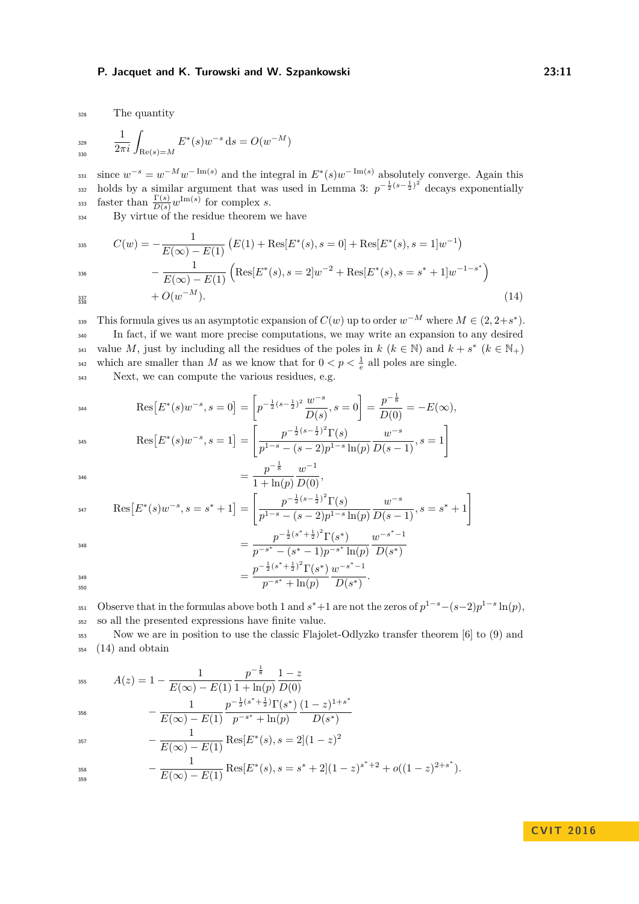<sup>328</sup> The quantity

$$
rac{1}{2\pi i} \int_{\text{Re}(s) = M} E^*(s) w^{-s} \, \mathrm{d}s = O(w^{-M})
$$

 $s_{331}$  since  $w^{-s} = w^{-M}w^{-\text{Im}(s)}$  and the integral in  $E^*(s)w^{-\text{Im}(s)}$  absolutely converge. Again this 332 holds by a similar argument that was used in Lemma [3:](#page-6-0)  $p^{-\frac{1}{2}(s-\frac{1}{2})^2}$  decays exponentially faster than  $\frac{\Gamma(s)}{D(s)}w^{\text{Im}(s)}$  for complex *s*.

<sup>334</sup> By virtue of the residue theorem we have

$$
C(w) = -\frac{1}{E(\infty) - E(1)} \left( E(1) + \text{Res}[E^*(s), s = 0] + \text{Res}[E^*(s), s = 1]w^{-1} \right)
$$

$$
-\frac{1}{E(\infty) - E(1)} \left( \text{Res}[E^*(s), s = 2]w^{-2} + \text{Res}[E^*(s), s = s^* + 1]w^{-1-s^*} \right)
$$

 $+ O(w^{-M}).$  (14) 338

356

This formula gives us an asymptotic expansion of  $C(w)$  up to order  $w^{-M}$  where  $M \in (2, 2+s^*)$ . <sup>340</sup> In fact, if we want more precise computations, we may write an expansion to any desired value *M*, just by including all the residues of the poles in  $k$  ( $k \in \mathbb{N}$ ) and  $k + s^*$  ( $k \in \mathbb{N}_+$ ) which are smaller than *M* as we know that for  $0 < p < \frac{1}{e}$  all poles are single.

<sup>343</sup> Next, we can compute the various residues, e.g.

$$
\text{Res}\big[E^*(s)w^{-s}, s=0\big] = \left[p^{-\frac{1}{2}(s-\frac{1}{2})^2}\frac{w^{-s}}{D(s)}, s=0\right] = \frac{p^{-\frac{1}{8}}}{D(0)} = -E(\infty),
$$

$$
\text{Res}\big[E^*(s)w^{-s}, s=1\big] = \left[\frac{p^{-\frac{1}{2}(s-\frac{1}{2})^2}\Gamma(s)}{p^{1-s}-(s-2)p^{1-s}\ln(p)}\frac{w^{-s}}{D(s-1)}, s=1\right]
$$

$$
= \frac{p^{-\frac{1}{8}}}{1 + \ln(p)} \frac{w^{-1}}{D(0)},
$$

$$
\text{Res}\left[E^*(s)w^{-s}, s=s^*+1\right] = \left[\frac{p^{-\frac{1}{2}(s-\frac{1}{2})^2}\Gamma(s)}{p^{1-s}-(s-2)p^{1-s}\ln(p)}\frac{w^{-s}}{D(s-1)}, s=s^*+1\right]
$$
\n
$$
p^{-\frac{1}{2}(s^*+\frac{1}{2})^2}\Gamma(s^*) \qquad w^{-s^*-1}
$$

$$
= \frac{p^{-\frac{1}{2}(s^*+\frac{1}{2})^2}\Gamma(s^*)}{p^{-s^*}-(s^*-1)p^{-s^*}\ln(p)}
$$

$$
= \frac{p^{-\frac{1}{2}(s^*+\frac{1}{2})^2}\Gamma(s^*)}{p^{-s^*}+\ln(p)}\frac{w^{-s^*-1}}{D(s^*)}.
$$

Observe that in the formulas above both 1 and  $s^*+1$  are not the zeros of  $p^{1-s}-(s-2)p^{1-s}\ln(p)$ , <sup>352</sup> so all the presented expressions have finite value.

<span id="page-10-0"></span>*D*(*s* ∗)

<sup>353</sup> Now we are in position to use the classic Flajolet-Odlyzko transfer theorem [\[6\]](#page-12-13) to [\(9\)](#page-6-2) and  $354 \quad (14)$  $354 \quad (14)$  and obtain

$$
A(z) = 1 - \frac{1}{E(\infty) - E(1)} \frac{p^{-\frac{1}{8}}}{1 + \ln(p)} \frac{1 - z}{D(0)}
$$
  

$$
1 - \frac{1}{2} \left(s^* + \frac{1}{2}\right) \Gamma(s^*) \left(1 - z\right)
$$

$$
-\frac{1}{E(\infty) - E(1)} \frac{p^{-\frac{1}{2}(s^* + \frac{1}{2})} \Gamma(s^*)}{p^{-s^*} + \ln(p)} \frac{(1-z)^{1+s^*}}{D(s^*)}
$$

<sup>357</sup> 
$$
-\frac{1}{E(\infty) - E(1)} \text{Res}[E^*(s), s = 2](1 - z)^2
$$

$$
-\frac{1}{E(\infty)-E(1)}\operatorname{Res}[E^*(s),s=s^*+2](1-z)^{s^*+2}+o((1-z)^{2+s^*}).
$$

### **C V I T 2 0 1 6**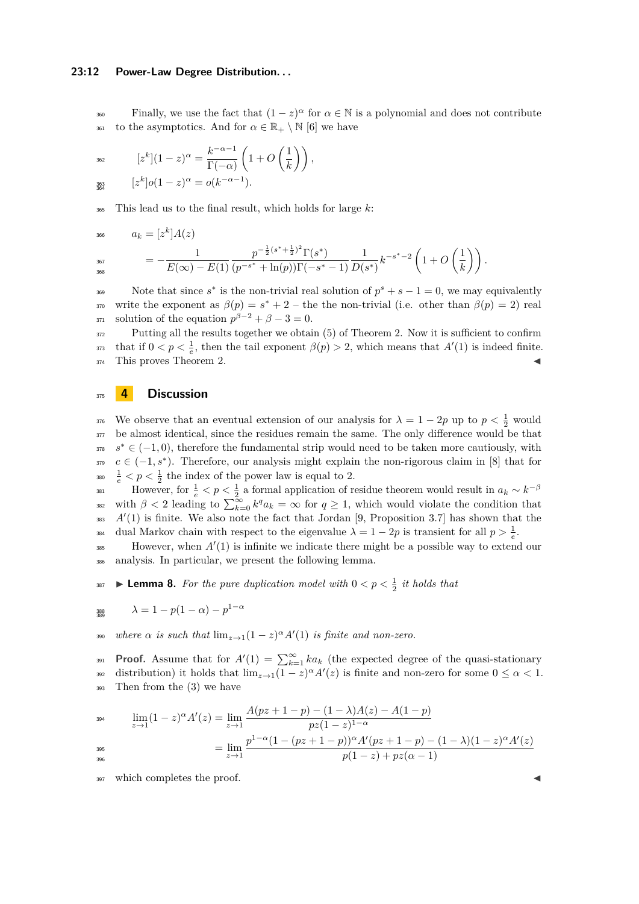#### **23:12 Power-Law Degree Distribution. . .**

Finally, we use the fact that  $(1 - z)^{\alpha}$  for  $\alpha \in \mathbb{N}$  is a polynomial and does not contribute <sup>361</sup> to the asymptotics. And for  $\alpha \in \mathbb{R}_+ \setminus \mathbb{N}$  [\[6\]](#page-12-13) we have

$$
z^{k}(1-z)^{\alpha} = \frac{k^{-\alpha-1}}{\Gamma(-\alpha)} \left( 1 + O\left(\frac{1}{k}\right) \right),
$$
  

$$
z^{k}(0)(1-z)^{\alpha} = o(k^{-\alpha-1}).
$$

363<br>364

<sup>365</sup> This lead us to the final result, which holds for large *k*:

$$
a_k = [z^k]A(z)
$$
  

$$
= -\frac{1}{E(\infty) - E(1)} \frac{p^{-\frac{1}{2}(s^* + \frac{1}{2})^2} \Gamma(s^*)}{(p^{-s^*} + \ln(p))\Gamma(-s^* - 1)} \frac{1}{D(s^*)} k^{-s^* - 2} \left(1 + O\left(\frac{1}{k}\right)\right).
$$

Note that since  $s^*$  is the non-trivial real solution of  $p^s + s - 1 = 0$ , we may equivalently write the exponent as  $\beta(p) = s^* + 2$  – the the non-trivial (i.e. other than  $\beta(p) = 2$ ) real  $s_{371}$  solution of the equation  $p^{\beta-2} + \beta - 3 = 0$ .

<sup>372</sup> Putting all the results together we obtain [\(5\)](#page-4-3) of Theorem [2.](#page-4-0) Now it is sufficient to confirm that if  $0 < p < \frac{1}{e}$ , then the tail exponent  $\beta(p) > 2$ , which means that  $A'(1)$  is indeed finite. 374 This proves Theorem [2.](#page-4-0)

### <span id="page-11-0"></span><sup>375</sup> **4 Discussion**

We observe that an eventual extension of our analysis for  $\lambda = 1 - 2p$  up to  $p < \frac{1}{2}$  would  $377$  be almost identical, since the residues remain the same. The only difference would be that  $s^* \in (-1,0)$ , therefore the fundamental strip would need to be taken more cautiously, with  $c \in (-1, s^*)$ . Therefore, our analysis might explain the non-rigorous claim in [\[8\]](#page-12-6) that for <sup>380</sup>  $\frac{1}{e}$  <  $p$  <  $\frac{1}{2}$  the index of the power law is equal to 2.

However, for  $\frac{1}{e} < p < \frac{1}{2}$  a formal application of residue theorem would result in  $a_k \sim k^{-\beta}$ 381 with  $\beta < 2$  leading to  $\sum_{k=0}^{\infty} k^q a_k = \infty$  for  $q \ge 1$ , which would violate the condition that  $A'(1)$  is finite. We also note the fact that Jordan [\[9,](#page-12-1) Proposition 3.7] has shown that the dual Markov chain with respect to the eigenvalue  $\lambda = 1 - 2p$  is transient for all  $p > \frac{1}{e}$ .

However, when  $A'(1)$  is infinite we indicate there might be a possible way to extend our <sup>386</sup> analysis. In particular, we present the following lemma.

**Example 18.** For the pure duplication model with  $0 < p < \frac{1}{2}$  it holds that

$$
288 \lambda = 1 - p(1 - \alpha) - p^{1 - \alpha}
$$

*where*  $\alpha$  *is such that*  $\lim_{z\to 1} (1-z)^{\alpha} A'(1)$  *is finite and non-zero.* 

**Proof.** Assume that for  $A'(1) = \sum_{k=1}^{\infty} ka_k$  (the expected degree of the quasi-stationary distribution) it holds that  $\lim_{z\to 1}(1-z)^{\alpha}A'(z)$  is finite and non-zero for some  $0 \leq \alpha < 1$ . <sup>393</sup> Then from the [\(3\)](#page-3-1) we have

$$
\lim_{z \to 1} (1-z)^{\alpha} A'(z) = \lim_{z \to 1} \frac{A(pz+1-p) - (1-\lambda)A(z) - A(1-p)}{pz(1-z)^{1-\alpha}}
$$

$$
= \lim_{z \to 1} \frac{p^{1-\alpha}(1 - (pz+1-p))^{\alpha} A'(pz+1-p) - (1-\lambda)(1-z)^{\alpha} A'(z)}{p(1-z) + pz(\alpha - 1)}
$$

$$
= \lim_{z \to 1} \frac{p(1-z) + pz(\alpha - 1)}{p(1-z) + pz(\alpha - 1)}
$$

397 which completes the proof.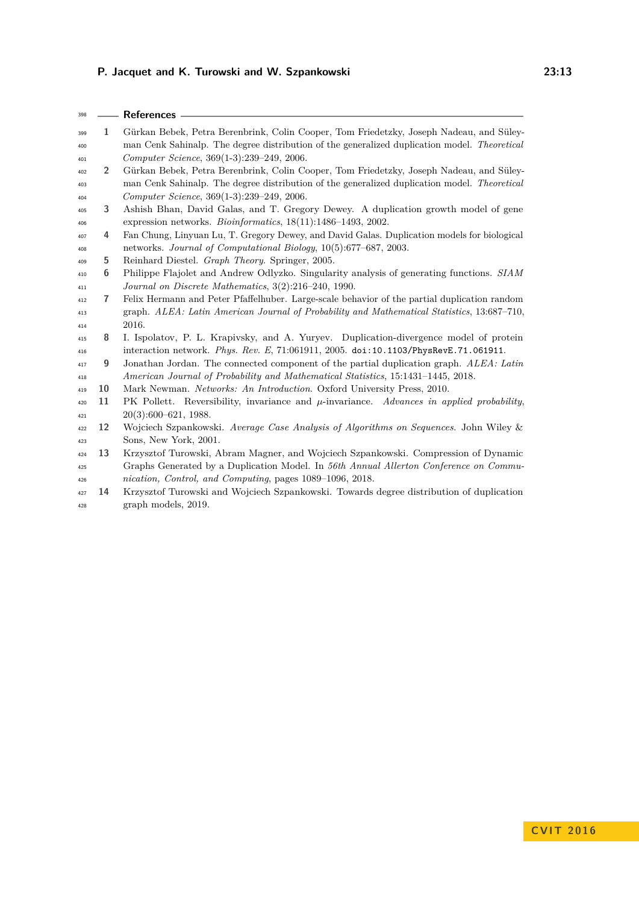**References**

<span id="page-12-13"></span><span id="page-12-12"></span><span id="page-12-11"></span><span id="page-12-10"></span><span id="page-12-9"></span><span id="page-12-8"></span><span id="page-12-7"></span><span id="page-12-6"></span><span id="page-12-5"></span><span id="page-12-4"></span><span id="page-12-3"></span><span id="page-12-2"></span><span id="page-12-1"></span><span id="page-12-0"></span>

| 399 | 1              | Gürkan Bebek, Petra Berenbrink, Colin Cooper, Tom Friedetzky, Joseph Nadeau, and Süley-       |
|-----|----------------|-----------------------------------------------------------------------------------------------|
| 400 |                | man Cenk Sahinalp. The degree distribution of the generalized duplication model. Theoretical  |
| 401 |                | Computer Science, 369(1-3):239-249, 2006.                                                     |
| 402 | $\overline{2}$ | Gürkan Bebek, Petra Berenbrink, Colin Cooper, Tom Friedetzky, Joseph Nadeau, and Süley-       |
| 403 |                | man Cenk Sahinalp. The degree distribution of the generalized duplication model. Theoretical  |
| 404 |                | Computer Science, 369(1-3):239-249, 2006.                                                     |
| 405 | 3              | Ashish Bhan, David Galas, and T. Gregory Dewey. A duplication growth model of gene            |
| 406 |                | expression networks. <i>Bioinformatics</i> , $18(11):1486-1493$ , 2002.                       |
| 407 | 4              | Fan Chung, Linyuan Lu, T. Gregory Dewey, and David Galas. Duplication models for biological   |
| 408 |                | networks. Journal of Computational Biology, 10(5):677-687, 2003.                              |
| 409 | 5              | Reinhard Diestel. Graph Theory. Springer, 2005.                                               |
| 410 | 6              | Philippe Flajolet and Andrew Odlyzko. Singularity analysis of generating functions. SIAM      |
| 411 |                | Journal on Discrete Mathematics, 3(2):216-240, 1990.                                          |
| 412 | $\overline{7}$ | Felix Hermann and Peter Pfaffelhuber. Large-scale behavior of the partial duplication random  |
| 413 |                | graph. ALEA: Latin American Journal of Probability and Mathematical Statistics, 13:687-710,   |
| 414 |                | 2016.                                                                                         |
| 415 | 8              | I. Ispolatov, P. L. Krapivsky, and A. Yuryev. Duplication-divergence model of protein         |
| 416 |                | interaction network. Phys. Rev. E, 71:061911, 2005. doi:10.1103/PhysRevE.71.061911.           |
| 417 | 9              | Jonathan Jordan. The connected component of the partial duplication graph. ALEA: Latin        |
| 418 |                | American Journal of Probability and Mathematical Statistics, 15:1431-1445, 2018.              |
| 419 | 10             | Mark Newman. Networks: An Introduction. Oxford University Press, 2010.                        |
| 420 | 11             | PK Pollett. Reversibility, invariance and $\mu$ -invariance. Advances in applied probability, |
| 421 |                | $20(3):600-621, 1988.$                                                                        |
| 422 | 12             | Wojciech Szpankowski. Average Case Analysis of Algorithms on Sequences. John Wiley &          |
| 423 |                | Sons, New York, 2001.                                                                         |
| 424 | 13             | Krzysztof Turowski, Abram Magner, and Wojciech Szpankowski. Compression of Dynamic            |
| 425 |                | Graphs Generated by a Duplication Model. In 56th Annual Allerton Conference on Commu-         |
| 426 |                | nication, Control, and Computing, pages 1089-1096, 2018.                                      |
| 427 | 14             | Krzysztof Turowski and Wojciech Szpankowski. Towards degree distribution of duplication       |
| 428 |                | graph models, 2019.                                                                           |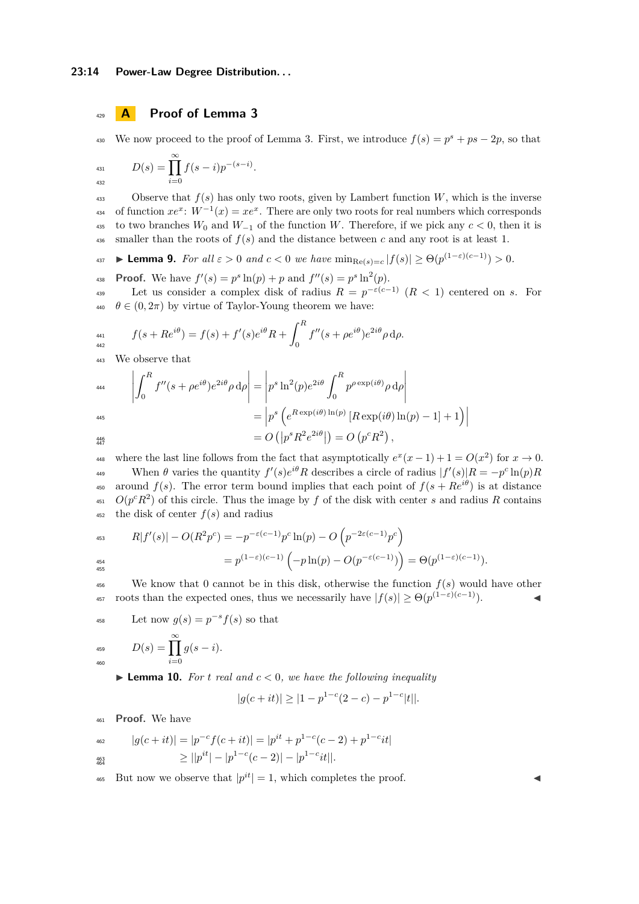# <sup>429</sup> **A Proof of Lemma [3](#page-6-0)**

We now proceed to the proof of Lemma [3.](#page-6-0) First, we introduce  $f(s) = p^s + ps - 2p$ , so that

$$
D(s) = \prod_{i=0}^{\infty} f(s-i) p^{-(s-i)}.
$$

433 Observe that  $f(s)$  has only two roots, given by Lambert function  $W$ , which is the inverse <sup>434</sup> of function  $xe^x$ :  $W^{-1}(x) = xe^x$ . There are only two roots for real numbers which corresponds 435 to two branches  $W_0$  and  $W_{-1}$  of the function  $W$ . Therefore, if we pick any  $c < 0$ , then it is  $\frac{436}{100}$  smaller than the roots of  $f(s)$  and the distance between *c* and any root is at least 1.

<span id="page-13-0"></span>**a**<sub>37</sub> **► Lemma 9.** *For all*  $\varepsilon > 0$  *and*  $c < 0$  *we have*  $\min_{\text{Re}(s) = c} |f(s)| \ge \Theta(p^{(1-\varepsilon)(c-1)}) > 0$ *.* 

**Proof.** We have  $f'(s) = p^s \ln(p) + p$  and  $f''(s) = p^s \ln^2(p)$ .

Let us consider a complex disk of radius  $R = p^{-\varepsilon(c-1)}$   $(R < 1)$  centered on *s*. For  $\theta \in (0, 2\pi)$  by virtue of Taylor-Young theorem we have:

$$
f(s+Re^{i\theta}) = f(s) + f'(s)e^{i\theta}R + \int_0^R f''(s+\rho e^{i\theta})e^{2i\theta}\rho d\rho.
$$

<sup>443</sup> We observe that

$$
444 \qquad \left| \int_0^R f''(s + \rho e^{i\theta}) e^{2i\theta} \rho \, d\rho \right| = \left| p^s \ln^2(p) e^{2i\theta} \int_0^R p^{\rho \exp(i\theta)} \rho \, d\rho \right|
$$

$$
= \left| p^s \left( e^{R \exp(i\theta) \ln(p)} \left[ R \exp(i\theta) \ln(p) - 1 \right] + 1 \right) \right|
$$

$$
= O\left( \left| p^s R^2 e^{2i\theta} \right| \right) = O\left( p^c R^2 \right),
$$

447

where the last line follows from the fact that asymptotically  $e^x(x-1) + 1 = O(x^2)$  for  $x \to 0$ . When  $\theta$  varies the quantity  $f'(s)e^{i\theta}R$  describes a circle of radius  $|f'(s)|R = -p^c \ln(p)R$ aso around  $f(s)$ . The error term bound implies that each point of  $f(s + Re^{i\theta})$  is at distance  $O(p^c R^2)$  of this circle. Thus the image by *f* of the disk with center *s* and radius *R* contains  $452$  the disk of center  $f(s)$  and radius

$$
R|f'(s)| - O(R^2p^c) = -p^{-\varepsilon(c-1)}p^c \ln(p) - O\left(p^{-2\varepsilon(c-1)}p^c\right)
$$
  
=  $p^{(1-\varepsilon)(c-1)}\left(-p\ln(p) - O(p^{-\varepsilon(c-1)})\right) = \Theta(p^{(1-\varepsilon)(c-1)}).$ 

<sup>456</sup> We know that 0 cannot be in this disk, otherwise the function  $f(s)$  would have other roots than the expected ones, thus we necessarily have  $|f(s)| \geq \Theta(p^{(1-\varepsilon)(c-1)})$ .

458 Let now 
$$
g(s) = p^{-s} f(s)
$$
 so that  
459 
$$
D(s) = \prod_{s=0}^{\infty} g(s - i).
$$

*i*=0

$$
D(s) = \prod_{i=0}^{\infty} g(s-i).
$$

<span id="page-13-1"></span> $\blacktriangleright$  **Lemma 10.** For *t* real and  $c < 0$ , we have the following inequality

$$
|g(c+it)| \ge |1 - p^{1-c}(2-c) - p^{1-c}|t||.
$$

<sup>461</sup> **Proof.** We have

$$
|g(c+it)| = |p^{-c}f(c+it)| = |p^{it} + p^{1-c}(c-2) + p^{1-c}it|
$$
  
\n
$$
\geq ||p^{it}| - |p^{1-c}(c-2)| - |p^{1-c}it||.
$$

<sup>465</sup> But now we observe that  $|p^{it}| = 1$ , which completes the proof.